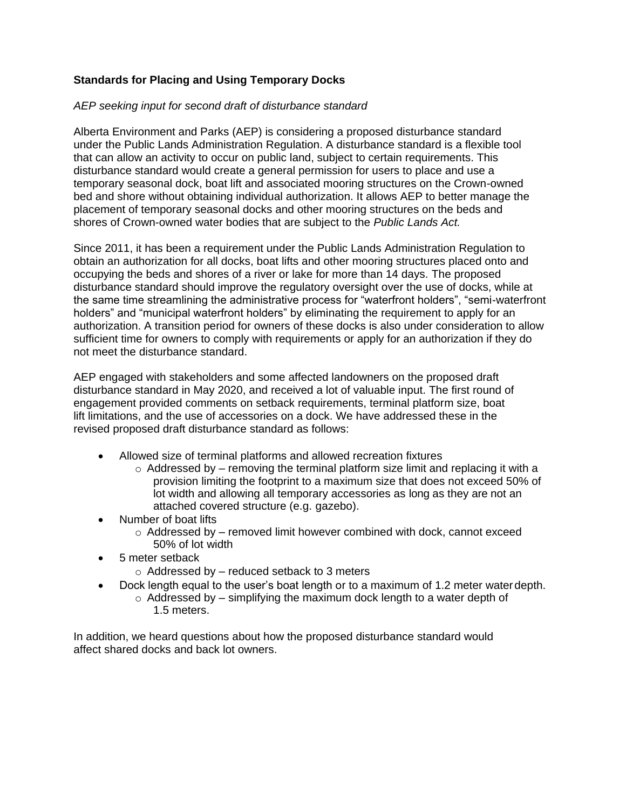## **Standards for Placing and Using Temporary Docks**

## *AEP seeking input for second draft of disturbance standard*

Alberta Environment and Parks (AEP) is considering a proposed disturbance standard under the Public Lands Administration Regulation. A disturbance standard is a flexible tool that can allow an activity to occur on public land, subject to certain requirements. This disturbance standard would create a general permission for users to place and use a temporary seasonal dock, boat lift and associated mooring structures on the Crown-owned bed and shore without obtaining individual authorization. It allows AEP to better manage the placement of temporary seasonal docks and other mooring structures on the beds and shores of Crown-owned water bodies that are subject to the *Public Lands Act.*

Since 2011, it has been a requirement under the Public Lands Administration Regulation to obtain an authorization for all docks, boat lifts and other mooring structures placed onto and occupying the beds and shores of a river or lake for more than 14 days. The proposed disturbance standard should improve the regulatory oversight over the use of docks, while at the same time streamlining the administrative process for "waterfront holders", "semi-waterfront holders" and "municipal waterfront holders" by eliminating the requirement to apply for an authorization. A transition period for owners of these docks is also under consideration to allow sufficient time for owners to comply with requirements or apply for an authorization if they do not meet the disturbance standard.

AEP engaged with stakeholders and some affected landowners on the proposed draft disturbance standard in May 2020, and received a lot of valuable input. The first round of engagement provided comments on setback requirements, terminal platform size, boat lift limitations, and the use of accessories on a dock. We have addressed these in the revised proposed draft disturbance standard as follows:

- Allowed size of terminal platforms and allowed recreation fixtures
	- $\circ$  Addressed by removing the terminal platform size limit and replacing it with a provision limiting the footprint to a maximum size that does not exceed 50% of lot width and allowing all temporary accessories as long as they are not an attached covered structure (e.g. gazebo).
- Number of boat lifts
	- $\circ$  Addressed by removed limit however combined with dock, cannot exceed 50% of lot width
- 5 meter setback
	- $\circ$  Addressed by reduced setback to 3 meters
	- Dock length equal to the user's boat length or to a maximum of 1.2 meter waterdepth.
		- $\circ$  Addressed by simplifying the maximum dock length to a water depth of 1.5 meters.

In addition, we heard questions about how the proposed disturbance standard would affect shared docks and back lot owners.